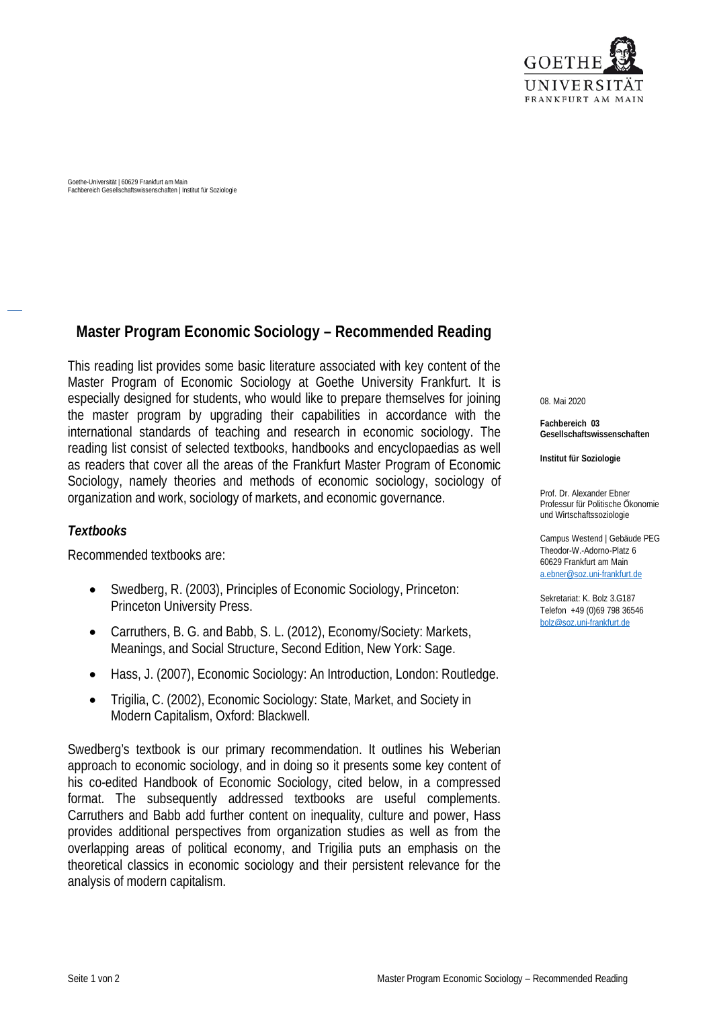

Goethe-Universität | 60629 Frankfurt am Main Fachbereich Gesellschaftswissenschaften | Institut für Soziologie

## **Master Program Economic Sociology – Recommended Reading**

This reading list provides some basic literature associated with key content of the Master Program of Economic Sociology at Goethe University Frankfurt. It is especially designed for students, who would like to prepare themselves for joining the master program by upgrading their capabilities in accordance with the international standards of teaching and research in economic sociology. The reading list consist of selected textbooks, handbooks and encyclopaedias as well as readers that cover all the areas of the Frankfurt Master Program of Economic Sociology, namely theories and methods of economic sociology, sociology of organization and work, sociology of markets, and economic governance.

## *Textbooks*

Recommended textbooks are:

- Swedberg, R. (2003), Principles of Economic Sociology, Princeton: Princeton University Press.
- Carruthers, B. G. and Babb, S. L. (2012), Economy/Society: Markets, Meanings, and Social Structure, Second Edition, New York: Sage.
- Hass, J. (2007), Economic Sociology: An Introduction, London: Routledge.
- Trigilia, C. (2002), Economic Sociology: State, Market, and Society in Modern Capitalism, Oxford: Blackwell.

Swedberg's textbook is our primary recommendation. It outlines his Weberian approach to economic sociology, and in doing so it presents some key content of his co-edited Handbook of Economic Sociology, cited below, in a compressed format. The subsequently addressed textbooks are useful complements. Carruthers and Babb add further content on inequality, culture and power, Hass provides additional perspectives from organization studies as well as from the overlapping areas of political economy, and Trigilia puts an emphasis on the theoretical classics in economic sociology and their persistent relevance for the analysis of modern capitalism.

08. Mai 2020

**Fachbereich 03 Gesellschaftswissenschaften**

**Institut für Soziologie**

Prof. Dr. Alexander Ebner Professur für Politische Ökonomie und Wirtschaftssoziologie

Campus Westend | Gebäude PEG Theodor-W.-Adorno-Platz 6 60629 Frankfurt am Main [a.ebner@soz.uni-frankfurt.de](mailto:a.ebner@soz.uni-frankfurt.de)

Sekretariat: K. Bolz 3.G187 Telefon +49 (0)69 798 36546 [bolz@soz.uni-frankfurt.de](mailto:bolz@soz.uni-frankfurt.de)